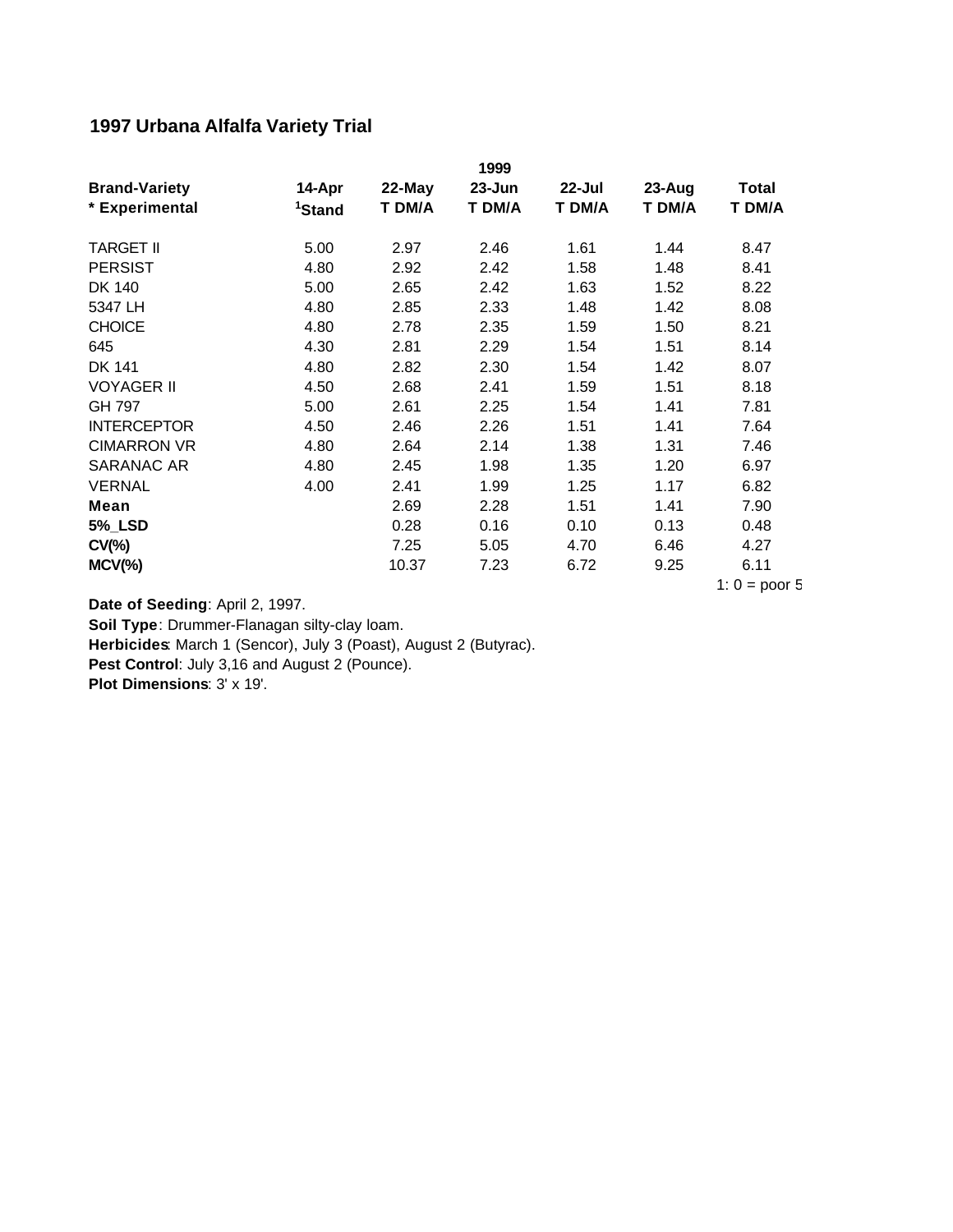## **1997 Urbana Alfalfa Variety Trial**

|                      |                    |        | 1999       |        |        |                 |
|----------------------|--------------------|--------|------------|--------|--------|-----------------|
| <b>Brand-Variety</b> | 14-Apr             | 22-May | $23 - Jun$ | 22-Jul | 23-Aug | <b>Total</b>    |
| * Experimental       | <sup>1</sup> Stand | T DM/A | T DM/A     | T DM/A | T DM/A | T DM/A          |
| <b>TARGET II</b>     | 5.00               | 2.97   | 2.46       | 1.61   | 1.44   | 8.47            |
| <b>PERSIST</b>       | 4.80               | 2.92   | 2.42       | 1.58   | 1.48   | 8.41            |
| DK 140               | 5.00               | 2.65   | 2.42       | 1.63   | 1.52   | 8.22            |
| 5347 LH              | 4.80               | 2.85   | 2.33       | 1.48   | 1.42   | 8.08            |
| <b>CHOICE</b>        | 4.80               | 2.78   | 2.35       | 1.59   | 1.50   | 8.21            |
| 645                  | 4.30               | 2.81   | 2.29       | 1.54   | 1.51   | 8.14            |
| DK 141               | 4.80               | 2.82   | 2.30       | 1.54   | 1.42   | 8.07            |
| <b>VOYAGER II</b>    | 4.50               | 2.68   | 2.41       | 1.59   | 1.51   | 8.18            |
| GH 797               | 5.00               | 2.61   | 2.25       | 1.54   | 1.41   | 7.81            |
| <b>INTERCEPTOR</b>   | 4.50               | 2.46   | 2.26       | 1.51   | 1.41   | 7.64            |
| <b>CIMARRON VR</b>   | 4.80               | 2.64   | 2.14       | 1.38   | 1.31   | 7.46            |
| SARANAC AR           | 4.80               | 2.45   | 1.98       | 1.35   | 1.20   | 6.97            |
| <b>VERNAL</b>        | 4.00               | 2.41   | 1.99       | 1.25   | 1.17   | 6.82            |
| Mean                 |                    | 2.69   | 2.28       | 1.51   | 1.41   | 7.90            |
| <b>5%_LSD</b>        |                    | 0.28   | 0.16       | 0.10   | 0.13   | 0.48            |
| $CV(\% )$            |                    | 7.25   | 5.05       | 4.70   | 6.46   | 4.27            |
| $MCV(\%)$            |                    | 10.37  | 7.23       | 6.72   | 9.25   | 6.11            |
|                      |                    |        |            |        |        | 1: $0 = poor 5$ |

**Date of Seeding**: April 2, 1997.

**Soil Type**: Drummer-Flanagan silty-clay loam.

**Herbicides**: March 1 (Sencor), July 3 (Poast), August 2 (Butyrac).

**Pest Control**: July 3,16 and August 2 (Pounce).

**Plot Dimensions**: 3' x 19'.